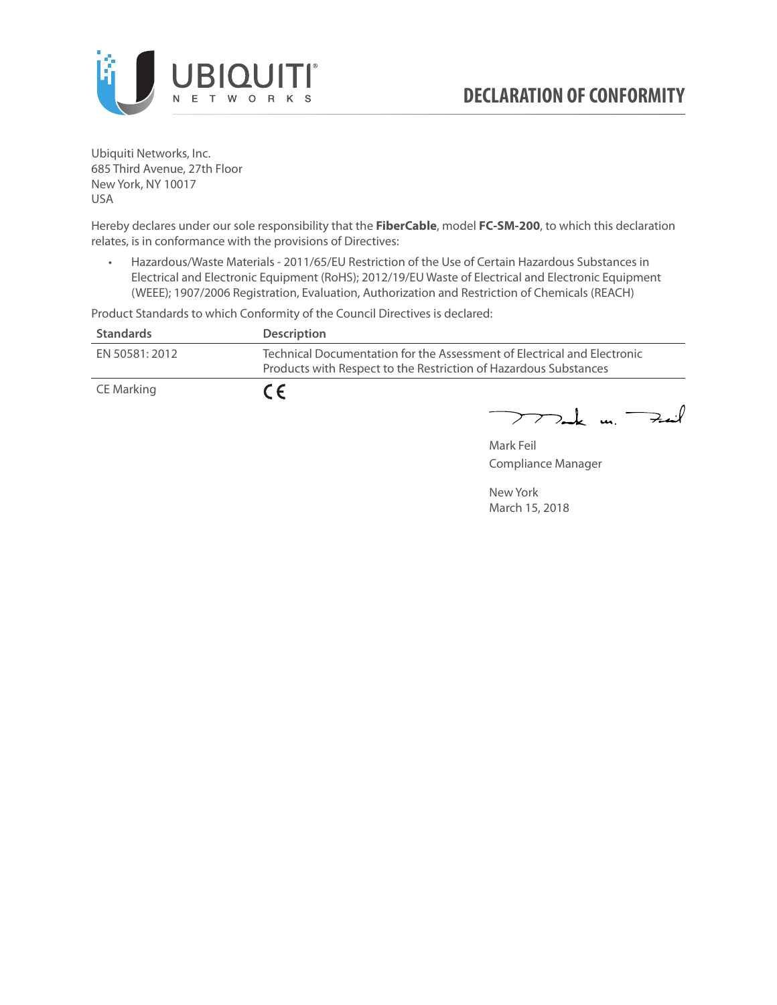

Ubiquiti Networks, Inc. 685 Third Avenue, 27th Floor New York, NY 10017 USA

Hereby declares under our sole responsibility that the **FiberCable**, model **FC-SM-200**, to which this declaration relates, is in conformance with the provisions of Directives:

• Hazardous/Waste Materials - 2011/65/EU Restriction of the Use of Certain Hazardous Substances in Electrical and Electronic Equipment (RoHS); 2012/19/EU Waste of Electrical and Electronic Equipment (WEEE); 1907/2006 Registration, Evaluation, Authorization and Restriction of Chemicals (REACH)

Product Standards to which Conformity of the Council Directives is declared:

| <b>Standards</b> | <b>Description</b>                                                                                                                          |
|------------------|---------------------------------------------------------------------------------------------------------------------------------------------|
| EN 50581: 2012   | Technical Documentation for the Assessment of Electrical and Electronic<br>Products with Respect to the Restriction of Hazardous Substances |
| CE Marking       | $\epsilon$                                                                                                                                  |

 $772$ ak m. Fail

Mark Feil Compliance Manager

New York March 15, 2018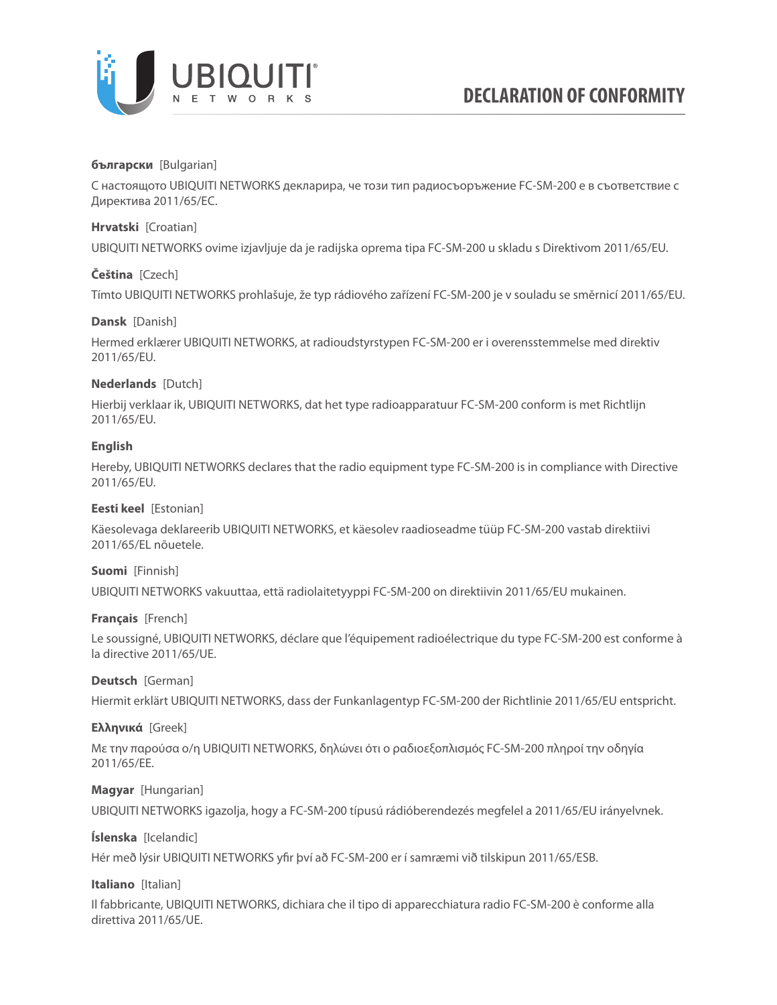

## **български** [Bulgarian]

С настоящото UBIQUITI NETWORKS декларира, че този тип радиосъоръжение FC-SM-200 е в съответствие с Директива 2011/65/ЕС.

## **Hrvatski** [Croatian]

UBIQUITI NETWORKS ovime izjavljuje da je radijska oprema tipa FC-SM-200 u skladu s Direktivom 2011/65/ЕU.

# **Čeština** [Czech]

Tímto UBIQUITI NETWORKS prohlašuje, že typ rádiového zařízení FC-SM-200 je v souladu se směrnicí 2011/65/ЕU.

## **Dansk** [Danish]

Hermed erklærer UBIQUITI NETWORKS, at radioudstyrstypen FC-SM-200 er i overensstemmelse med direktiv 2011/65/ЕU.

# **Nederlands** [Dutch]

Hierbij verklaar ik, UBIQUITI NETWORKS, dat het type radioapparatuur FC-SM-200 conform is met Richtlijn 2011/65/ЕU.

# **English**

Hereby, UBIQUITI NETWORKS declares that the radio equipment type FC-SM-200 is in compliance with Directive 2011/65/ЕU.

## **Eesti keel** [Estonian]

Käesolevaga deklareerib UBIQUITI NETWORKS, et käesolev raadioseadme tüüp FC-SM-200 vastab direktiivi 2011/65/EL nõuetele.

## **Suomi** [Finnish]

UBIQUITI NETWORKS vakuuttaa, että radiolaitetyyppi FC-SM-200 on direktiivin 2011/65/EU mukainen.

## **Français** [French]

Le soussigné, UBIQUITI NETWORKS, déclare que l'équipement radioélectrique du type FC-SM-200 est conforme à la directive 2011/65/UE.

## **Deutsch** [German]

Hiermit erklärt UBIQUITI NETWORKS, dass der Funkanlagentyp FC-SM-200 der Richtlinie 2011/65/EU entspricht.

## **Ελληνικά** [Greek]

Με την παρούσα ο/η UBIQUITI NETWORKS, δηλώνει ότι ο ραδιοεξοπλισμός FC-SM-200 πληροί την οδηγία 2011/65/EE.

## **Magyar** [Hungarian]

UBIQUITI NETWORKS igazolja, hogy a FC-SM-200 típusú rádióberendezés megfelel a 2011/65/EU irányelvnek.

## **Íslenska** [Icelandic]

Hér með lýsir UBIQUITI NETWORKS yfir því að FC-SM-200 er í samræmi við tilskipun 2011/65/ESB.

## **Italiano** [Italian]

Il fabbricante, UBIQUITI NETWORKS, dichiara che il tipo di apparecchiatura radio FC-SM-200 è conforme alla direttiva 2011/65/UE.